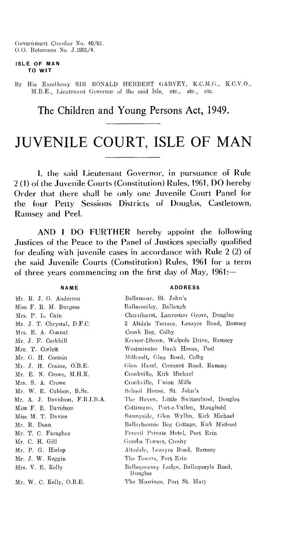Government Circular No. 40/61. 0.0. Reference No. J.1901/4.

#### **ISLE OF MAN TO WIT**

By His Excellency SIR• RONALD HERBERT GARVEY, K.C.M.G., K.C.V.O., M.B.E., Lieutenant Governor of the said Isle, etc., etc., etc.

# The Children and Young Persons Act, 1949.

# JUVENILE COURT, ISLE OF MAN

1, the said Lieutenant Governor, in pursuance of Rule 2 (1) of the Juvenile Courts (Constitution) Rules, 1961, DO hereby Order that there shall be only one Juvenile Court Panel for the four Petty Sessions Districts of Douglas, Castletown, Ramsey and Peel.

AND I DO FURTHER hereby appoint the following Justices of the Peace to the Panel of Justices specially qualified for dealing with juvenile cases in accordance with Rule 2 (2) of the said Juvenile Courts (Constitution) Rules, 1961 for a term of three years commencing on the first day of May, 1961:—

### **NAME**

#### **ADDRESS**

| Mr. R. J. G. Anderson          | Ballamoar, St. John's                            |
|--------------------------------|--------------------------------------------------|
| Miss F. R. M. Burgess          | Ballacooiley, Ballangh                           |
| Mrs. P. L. Cain                | Cherrihurst, Laureston Grove, Douglas            |
| Mr. J. T. Chrystal, D.F.C.     | 2 Altdale Terrace, Lezayre Road, Ramsey          |
| Mrs. E. A. Connal              | Cronk Beg, Colby                                 |
| Mr. J. F. Corkhill             | Kerrow-Dhoon, Walpole Drive, Ramsey              |
| Mrs. T. Corlett                | Westminster Bank House, Peel                     |
| Mr. G. H. Costain              | Milleroft, Glen Road, Colby                      |
| Mr. J. H. Craine, O.B.E.       | Glen Hazel, Crescent Road, Ramsey                |
| Mr. E. N. Crowe, M.H.K.        | Cronkville, Kirk Michael                         |
| Mrs. S. A. Crowe               | Cronkville, Union Mills                          |
| Mr. W. E. Cubbon, B.Sc.        | School House, St. John's                         |
| Mr. A. J. Davidson, F.R.I.B.A. | The Haven, Little Switzerland, Douglas           |
| Miss F. E. Davidson            | Cottimans, Port-e-Vullen, Maughold               |
| Miss M. T. Davies              | Sunnyside, Glen Wyllin, Kirk Michael             |
| Mr. R. Dean                    | Ballarhennie Beg Cottage, Kirk Michael           |
| Mr. T. C. Faragher             | Peveril Private Hotel, Port Erin                 |
| Mr. C. H. Gill                 | Greeba Towers, Crosby                            |
| Mr. P. G. Hislop               | Altadale, Lezayre Road, Ramsey                   |
| Mr. J. W. Keggin               | The Towers, Port Erin                            |
| Mrs. V. E. Kelly               | Ballaqueeney Lodge, Ballaquayle Road,<br>Douglas |
| Mr. W. C. Kelly, O.B.E.        | The Moorings, Port St. Mary                      |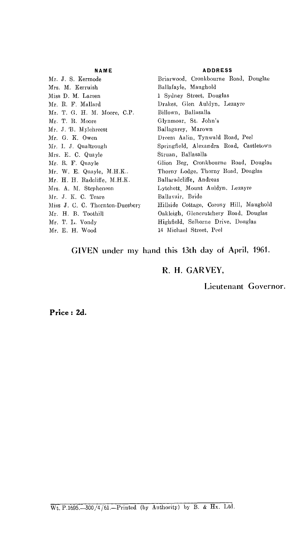#### **NAME**

Mr. J. S. Kermode Mrs. M. Kerruish Miss D. M. Larsen Mr. R. F. Mallard Mr. T. G. H. M. Moore, C.P. Mr. T. R. Moore Mr. J. 'B. Mylchreest Mr. 0. K. Owen Mr. 1. J. Qualtrough Mrs. E. C. Quayle Mr. R. F. Quayle Mr. W. E. Quayle, M.H.K.. Mr. H. H. Radcliffe, M.H.K. Mrs. A. M. Stephenson Mr. J. K. C. Teare Miss J. C. C. Thornton-Duesbery Mr. H. B. Toothill Mr. T. L. Vondy Mr. E. H. Wood

#### **ADDRESS**

Briarwood, Cronkbourne Road, Douglas Ballafayle, Maughold 1 Sydney Street, Douglas Drakes, Glen Auldyn, Lezayre Billown, Ballasalla Glynmoar, St. John's Ballagarey, Marown Dream Aalin, Tynwald Road, Peel Springfield, Alexandra Road, Castletown Struan, Ballasalla Glion Beg, Cronkbourne Road, Douglas Thorny Lodge, Thorny Road, Douglas Ballaradeliffe, Andreas Lytchett, Mount Auldyn, Lezayre Ballavair, Bride Hillside Cottage, Corony Hill, Maughold Oakleigh, Glencrutchery Road, Douglas Highfield, Selborne Drive, Douglas 14 Michael Street, Peel

# GIVEN under my hand this 13th day of April, 1961.

# R. H. GARVEY,

Lieutenant Governor.

Price : **2d.**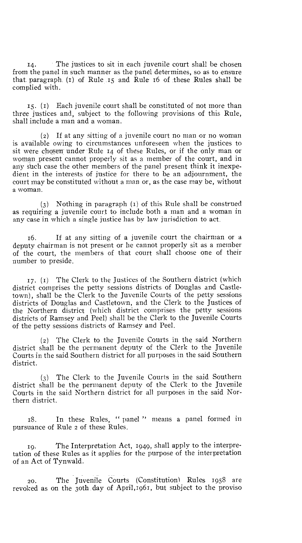14. The justices to sit in each juvenile court shall be chosen from the panel in such manner as the panel determines, so as to ensure that. paragraph. (i) of Rule .i5 and Rule 16 of these Rules shall be complied with.

15. (1) Each juvenile court shall be constituted of not more than three justices and, subject to the following provisions of this Rule, shall include a man and a woman.

(2) If at any sitting of a juvenile court no man or no woman is available owing to circumstances unforeseen when the justices to sit were chosen under Rule 14 of these Rules, or if the only man or woman present cannot properly sit as a member of the court, and in any such case the other members of the panel present think it inexpedient in the interests of justice for there to be an adjournment, the court may be constituted without a man or, as the case may be, without a woman.

(3) Nothing in paragraph (1) of this Rule shall be construed as requiring a juvenile court to include both a man and a woman in any case in which a single justice has by law jurisdiction to act.

16. If at any sitting of a juvenile court the chairman or a deputy chairman is not present or he cannot properly sit as a member of the court, the members of that court shall choose one of their number to preside.

17. (r) The Clerk to the Justices of the Southern district (which district comprises the petty sessions districts of Douglas and Castletown), shall be the Clerk to the Juvenile Courts of the petty sessions districts of Douglas and Castletown, and the Clerk to the Justices of the Northern district (which district comprises the petty sessions districts of Ramsey and Peel) shall be the Clerk to the Juvenile Courts of the petty sessions districts of Ramsey and Peel.

(2) The Clerk to the Juvenile Courts in the said Northern district shall be the permanent deputy of the Clerk to the Juvenile Courts in the said Southern district for all purposes in the said Southern district.

(3) The Clerk to the Juvenile Courts in the said Southern district shall be the permanent deputy of the Clerk to the Juvenile Courts in the said Northern district for all purposes in the said Northern district.

18. In these Rules, " panel " means a panel formed in pursuance of Rule 2 of these Rules.

19. The Interpretation Act, 1949, shall apply to the interpretation of these Rules as it applies for the purpose of the interpretation of an Act of Tynwald.

20. The Juvenile Courts (Constitution) Rules 1958 are revoked as on the 3oth day of April,1961, but subject to the proviso